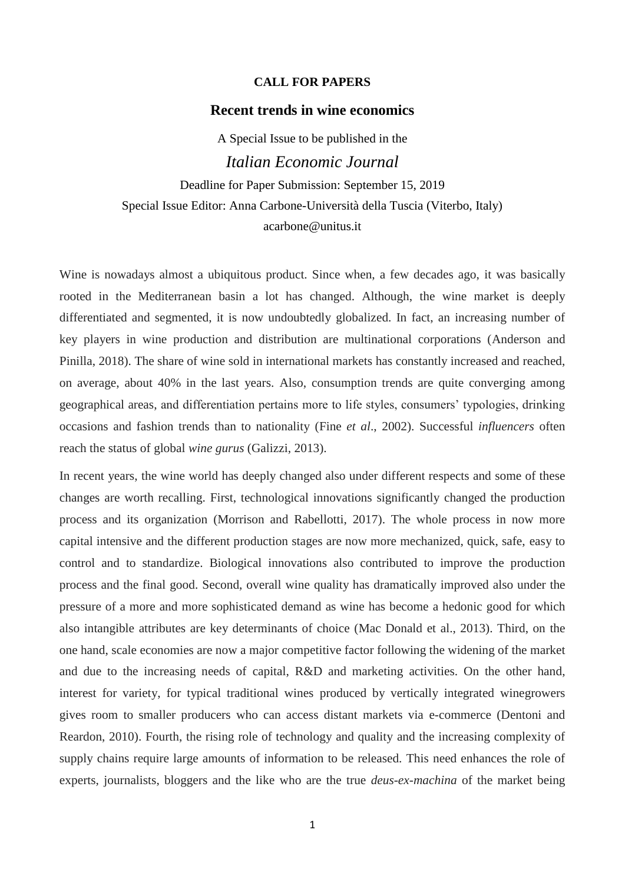### **CALL FOR PAPERS**

### **Recent trends in wine economics**

A Special Issue to be published in the *Italian Economic Journal* Deadline for Paper Submission: September 15, 2019 Special Issue Editor: Anna Carbone-Università della Tuscia (Viterbo, Italy) acarbone@unitus.it

Wine is nowadays almost a ubiquitous product. Since when, a few decades ago, it was basically rooted in the Mediterranean basin a lot has changed. Although, the wine market is deeply differentiated and segmented, it is now undoubtedly globalized. In fact, an increasing number of key players in wine production and distribution are multinational corporations (Anderson and Pinilla, 2018). The share of wine sold in international markets has constantly increased and reached, on average, about 40% in the last years. Also, consumption trends are quite converging among geographical areas, and differentiation pertains more to life styles, consumers' typologies, drinking occasions and fashion trends than to nationality (Fine *et al*., 2002). Successful *influencers* often reach the status of global *wine gurus* (Galizzi, 2013).

In recent years, the wine world has deeply changed also under different respects and some of these changes are worth recalling. First, technological innovations significantly changed the production process and its organization (Morrison and Rabellotti, 2017). The whole process in now more capital intensive and the different production stages are now more mechanized, quick, safe, easy to control and to standardize. Biological innovations also contributed to improve the production process and the final good. Second, overall wine quality has dramatically improved also under the pressure of a more and more sophisticated demand as wine has become a hedonic good for which also intangible attributes are key determinants of choice (Mac Donald et al., 2013). Third, on the one hand, scale economies are now a major competitive factor following the widening of the market and due to the increasing needs of capital, R&D and marketing activities. On the other hand, interest for variety, for typical traditional wines produced by vertically integrated winegrowers gives room to smaller producers who can access distant markets via e-commerce (Dentoni and Reardon, 2010). Fourth, the rising role of technology and quality and the increasing complexity of supply chains require large amounts of information to be released. This need enhances the role of experts, journalists, bloggers and the like who are the true *deus-ex-machina* of the market being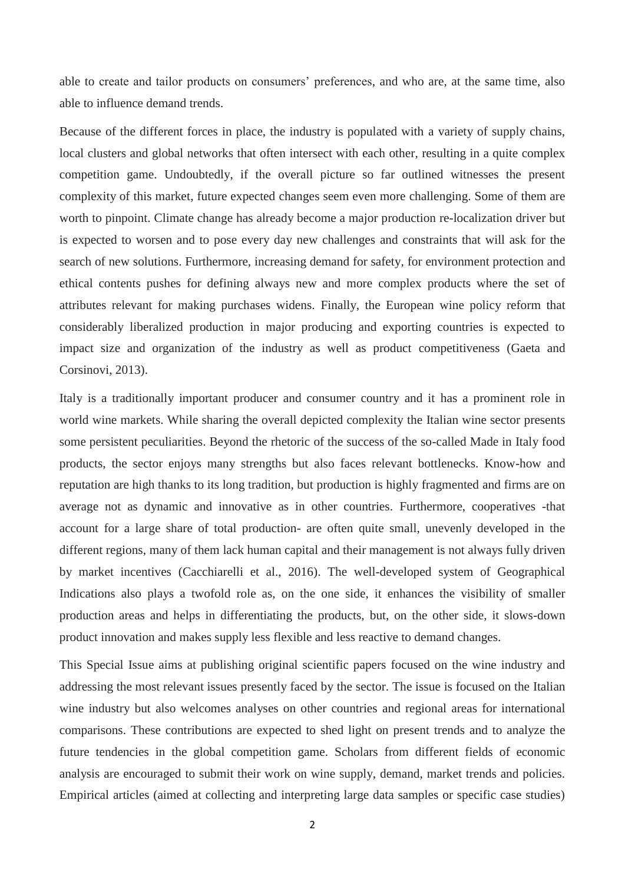able to create and tailor products on consumers' preferences, and who are, at the same time, also able to influence demand trends.

Because of the different forces in place, the industry is populated with a variety of supply chains, local clusters and global networks that often intersect with each other, resulting in a quite complex competition game. Undoubtedly, if the overall picture so far outlined witnesses the present complexity of this market, future expected changes seem even more challenging. Some of them are worth to pinpoint. Climate change has already become a major production re-localization driver but is expected to worsen and to pose every day new challenges and constraints that will ask for the search of new solutions. Furthermore, increasing demand for safety, for environment protection and ethical contents pushes for defining always new and more complex products where the set of attributes relevant for making purchases widens. Finally, the European wine policy reform that considerably liberalized production in major producing and exporting countries is expected to impact size and organization of the industry as well as product competitiveness (Gaeta and Corsinovi, 2013).

Italy is a traditionally important producer and consumer country and it has a prominent role in world wine markets. While sharing the overall depicted complexity the Italian wine sector presents some persistent peculiarities. Beyond the rhetoric of the success of the so-called Made in Italy food products, the sector enjoys many strengths but also faces relevant bottlenecks. Know-how and reputation are high thanks to its long tradition, but production is highly fragmented and firms are on average not as dynamic and innovative as in other countries. Furthermore, cooperatives -that account for a large share of total production- are often quite small, unevenly developed in the different regions, many of them lack human capital and their management is not always fully driven by market incentives (Cacchiarelli et al., 2016). The well-developed system of Geographical Indications also plays a twofold role as, on the one side, it enhances the visibility of smaller production areas and helps in differentiating the products, but, on the other side, it slows-down product innovation and makes supply less flexible and less reactive to demand changes.

This Special Issue aims at publishing original scientific papers focused on the wine industry and addressing the most relevant issues presently faced by the sector. The issue is focused on the Italian wine industry but also welcomes analyses on other countries and regional areas for international comparisons. These contributions are expected to shed light on present trends and to analyze the future tendencies in the global competition game. Scholars from different fields of economic analysis are encouraged to submit their work on wine supply, demand, market trends and policies. Empirical articles (aimed at collecting and interpreting large data samples or specific case studies)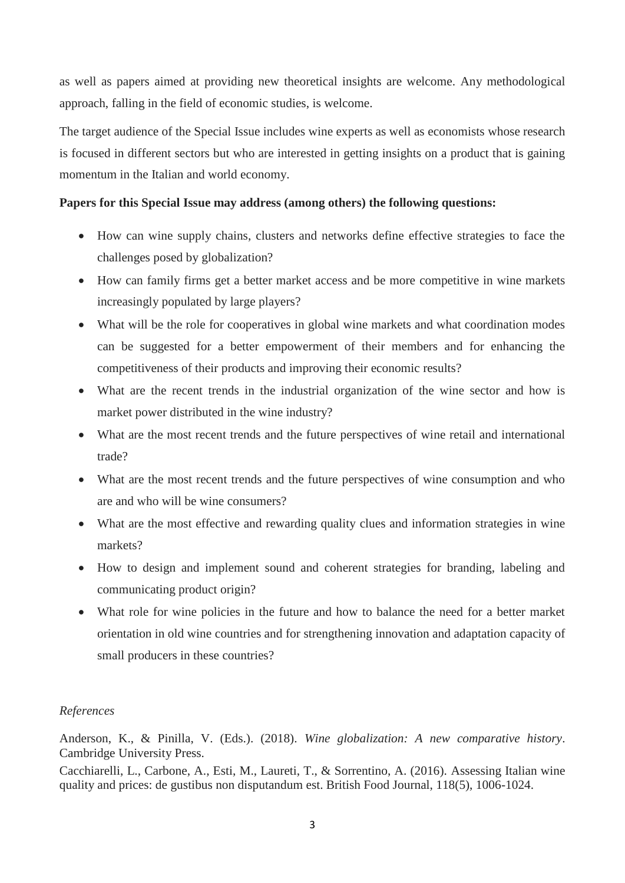as well as papers aimed at providing new theoretical insights are welcome. Any methodological approach, falling in the field of economic studies, is welcome.

The target audience of the Special Issue includes wine experts as well as economists whose research is focused in different sectors but who are interested in getting insights on a product that is gaining momentum in the Italian and world economy.

# **Papers for this Special Issue may address (among others) the following questions:**

- How can wine supply chains, clusters and networks define effective strategies to face the challenges posed by globalization?
- How can family firms get a better market access and be more competitive in wine markets increasingly populated by large players?
- What will be the role for cooperatives in global wine markets and what coordination modes can be suggested for a better empowerment of their members and for enhancing the competitiveness of their products and improving their economic results?
- What are the recent trends in the industrial organization of the wine sector and how is market power distributed in the wine industry?
- What are the most recent trends and the future perspectives of wine retail and international trade?
- What are the most recent trends and the future perspectives of wine consumption and who are and who will be wine consumers?
- What are the most effective and rewarding quality clues and information strategies in wine markets?
- How to design and implement sound and coherent strategies for branding, labeling and communicating product origin?
- What role for wine policies in the future and how to balance the need for a better market orientation in old wine countries and for strengthening innovation and adaptation capacity of small producers in these countries?

## *References*

Anderson, K., & Pinilla, V. (Eds.). (2018). *Wine globalization: A new comparative history*. Cambridge University Press.

Cacchiarelli, L., Carbone, A., Esti, M., Laureti, T., & Sorrentino, A. (2016). Assessing Italian wine quality and prices: de gustibus non disputandum est. British Food Journal, 118(5), 1006-1024.